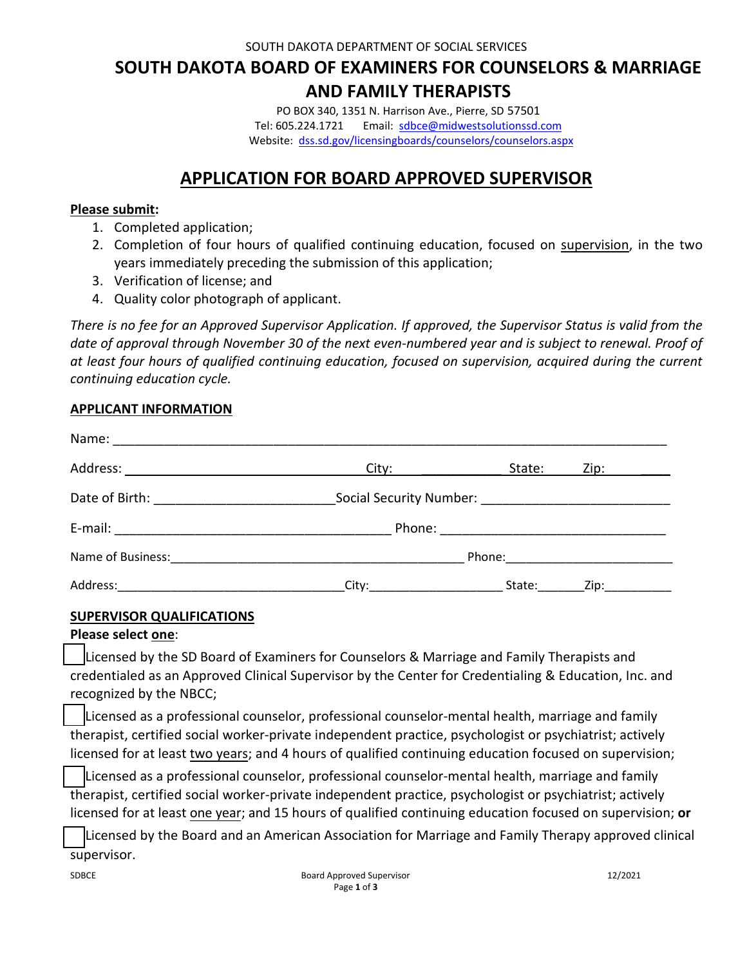SOUTH DAKOTA DEPARTMENT OF SOCIAL SERVICES

# **SOUTH DAKOTA BOARD OF EXAMINERS FOR COUNSELORS & MARRIAGE AND FAMILY THERAPISTS**

PO BOX 340, 1351 N. Harrison Ave., Pierre, SD 57501 Tel: 605.224.1721 Email: sdbce@midwestsolutionssd.com Website: dss.sd.gov/licensingboards/counselors/counselors.aspx

## **APPLICATION FOR BOARD APPROVED SUPERVISOR**

### **Please submit:**

- 1. Completed application;
- 2. Completion of four hours of qualified continuing education, focused on supervision, in the two years immediately preceding the submission of this application;
- 3. Verification of license; and
- 4. Quality color photograph of applicant.

*There is no fee for an Approved Supervisor Application. If approved, the Supervisor Status is valid from the date of approval through November 30 of the next even-numbered year and is subject to renewal. Proof of at least four hours of qualified continuing education, focused on supervision, acquired during the current continuing education cycle.*

## **APPLICANT INFORMATION**

|          | City: the control of the control of the control of the control of the control of the control of the control of the control of the control of the control of the control of the control of the control of the control of the co | State: | Zip: the contract of the contract of the contract of the contract of the contract of the contract of the contract of the contract of the contract of the contract of the contract of the contract of the contract of the contr |  |
|----------|--------------------------------------------------------------------------------------------------------------------------------------------------------------------------------------------------------------------------------|--------|--------------------------------------------------------------------------------------------------------------------------------------------------------------------------------------------------------------------------------|--|
|          |                                                                                                                                                                                                                                |        |                                                                                                                                                                                                                                |  |
|          |                                                                                                                                                                                                                                |        |                                                                                                                                                                                                                                |  |
|          |                                                                                                                                                                                                                                |        |                                                                                                                                                                                                                                |  |
| Address: | City:                                                                                                                                                                                                                          | State: | _Zip:____________                                                                                                                                                                                                              |  |

## **SUPERVISOR QUALIFICATIONS**

#### **Please select one**:

Licensed by the SD Board of Examiners for Counselors & Marriage and Family Therapists and credentialed as an Approved Clinical Supervisor by the Center for Credentialing & Education, Inc. and recognized by the NBCC;

Licensed as a professional counselor, professional counselor-mental health, marriage and family therapist, certified social worker-private independent practice, psychologist or psychiatrist; actively licensed for at least two years; and 4 hours of qualified continuing education focused on supervision;

Licensed as a professional counselor, professional counselor-mental health, marriage and family therapist, certified social worker-private independent practice, psychologist or psychiatrist; actively licensed for at least one year; and 15 hours of qualified continuing education focused on supervision; **or**

Licensed by the Board and an American Association for Marriage and Family Therapy approved clinical supervisor.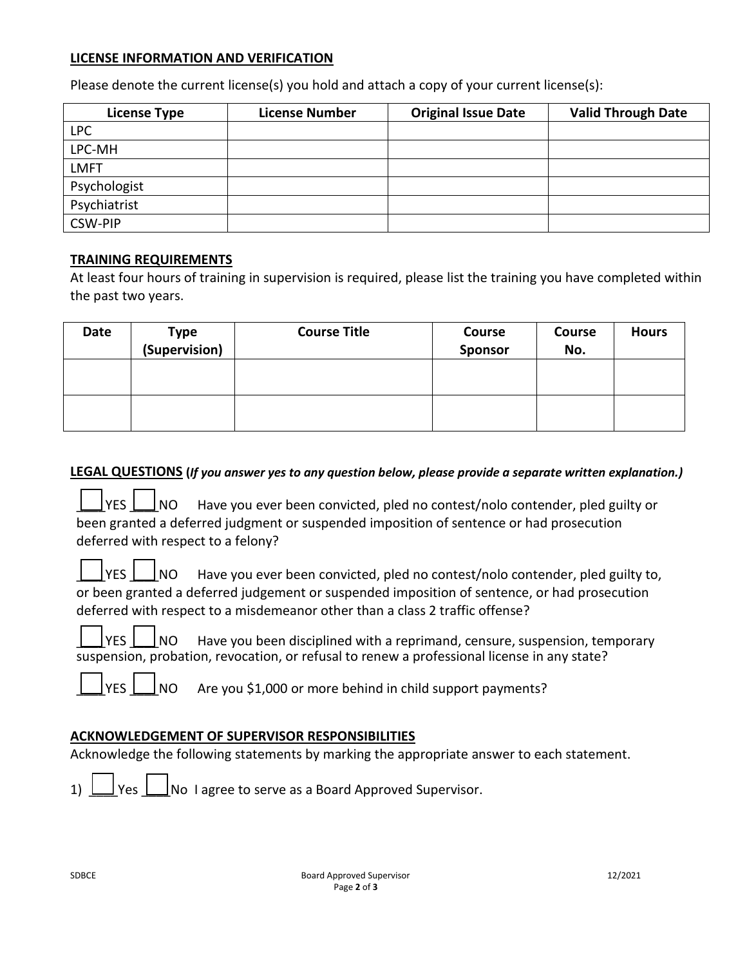#### **LICENSE INFORMATION AND VERIFICATION**

Please denote the current license(s) you hold and attach a copy of your current license(s):

| <b>License Type</b> | <b>License Number</b> | <b>Original Issue Date</b> | <b>Valid Through Date</b> |
|---------------------|-----------------------|----------------------------|---------------------------|
| <b>LPC</b>          |                       |                            |                           |
| LPC-MH              |                       |                            |                           |
| <b>LMFT</b>         |                       |                            |                           |
| Psychologist        |                       |                            |                           |
| Psychiatrist        |                       |                            |                           |
| <b>CSW-PIP</b>      |                       |                            |                           |

#### **TRAINING REQUIREMENTS**

At least four hours of training in supervision is required, please list the training you have completed within the past two years.

| Date | Type<br>(Supervision) | <b>Course Title</b> | <b>Course</b><br>Sponsor | <b>Course</b><br>No. | <b>Hours</b> |
|------|-----------------------|---------------------|--------------------------|----------------------|--------------|
|      |                       |                     |                          |                      |              |
|      |                       |                     |                          |                      |              |

#### **LEGAL QUESTIONS (***If you answer yes to any question below, please provide a separate written explanation.)*

|  |  | $\Box$ YES $\Box$ NO Have you ever been convicted, pled no contest/nolo contender, pled guilty or |
|--|--|---------------------------------------------------------------------------------------------------|
|  |  | been granted a deferred judgment or suspended imposition of sentence or had prosecution           |
|  |  | deferred with respect to a felony?                                                                |

|  |  | $\Box$ YES $\Box$ NO Have you ever been convicted, pled no contest/nolo contender, pled guilty to, |
|--|--|----------------------------------------------------------------------------------------------------|
|  |  | or been granted a deferred judgement or suspended imposition of sentence, or had prosecution       |
|  |  | deferred with respect to a misdemeanor other than a class 2 traffic offense?                       |

YES  $\Box$  NO Have you been disciplined with a reprimand, censure, suspension, temporary suspension, probation, revocation, or refusal to renew a professional license in any state?

 $\blacksquare$ 

 $\blacksquare$ 

п ┑  $\Box$ 

 $\blacksquare$ 

 $\overline{N}$   $\overline{N}$  Are you \$1,000 or more behind in child support payments?

#### **ACKNOWLEDGEMENT OF SUPERVISOR RESPONSIBILITIES**

Acknowledge the following statements by marking the appropriate answer to each statement.

1)  $\Box$  Yes  $\Box$  No I agree to serve as a Board Approved Supervisor.